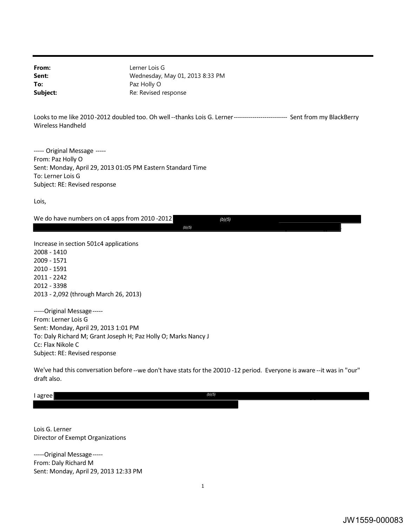**From:** Lerner Lois G **Sent:** Wednesday, May 01, 2013 8:33 PM **To:** Paz Holly O **Subject:** Re: Revised response

 Looks to me like 2010 -2012 doubled too. Oh well --thanks Lois G. Lerner -------------------------- Sent from my BlackBerry Wireless Handheld

 ----- Original Message ----- From: Paz Holly O Sent: Monday, April 29, 2013 01:05 PM Eastern Standard Time To: Lerner Lois G Subject: RE: Revised response

Lois,

We do have numbers on c4 apps from 2010 -2012 *(b)(5)* 

*(b)(5)* .

 Increase in section 501c4 applications 2013 - 2,092 (through March 26, 2013) 2008 - 1410 2009 - 1571 2010 - 1591 2011 - 2242 2012 - 3398

 From: Lerner Lois G Sent: Monday, April 29, 2013 1:01 PM To: Daly Richard M; Grant Joseph H; Paz Holly O; Marks Nancy J Cc: Flax Nikole C Subject: RE: Revised response -----Original Message-----

 We've had this conversation before --we don't have stats for the 20010 -12 period. Everyone is aware --it was in "our" draft also.

I agree I agree *(b)(5)* 

 Lois G. Lerner Director of Exempt Organizations

 From: Daly Richard M Sent: Monday, April 29, 2013 12:33 PM -----Original Message-----